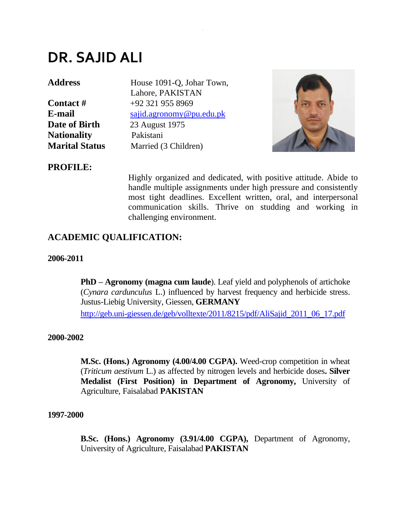# **DR. SAJID ALI**

**Date of Birth** 23 August 1975 **Nationality** Pakistani

Address House 1091-Q, Johar Town, Lahore, PAKISTAN **Contact #**  $+92,321,955,8969$ **E-mail** [sajid.agronomy@pu.edu.pk](mailto:sajid.agronomy@pu.edu.pk) **Marital Status** Married (3 Children)

.



# **PROFILE:**

Highly organized and dedicated, with positive attitude. Abide to handle multiple assignments under high pressure and consistently most tight deadlines. Excellent written, oral, and interpersonal communication skills. Thrive on studding and working in challenging environment.

# **ACADEMIC QUALIFICATION:**

#### **2006-2011**

**PhD – Agronomy (magna cum laude**). Leaf yield and polyphenols of artichoke (*Cynara cardunculus* L.) influenced by harvest frequency and herbicide stress. Justus-Liebig University, Giessen, **GERMANY**

[http://geb.uni-giessen.de/geb/volltexte/2011/8215/pdf/AliSajid\\_2011\\_06\\_17.pdf](http://geb.uni-giessen.de/geb/volltexte/2011/8215/pdf/AliSajid_2011_06_17.pdf)

#### **2000-2002**

**M.Sc. (Hons.) Agronomy (4.00/4.00 CGPA).** Weed-crop competition in wheat (*Triticum aestivum* L.) as affected by nitrogen levels and herbicide doses**. Silver Medalist (First Position) in Department of Agronomy,** University of Agriculture, Faisalabad **PAKISTAN**

#### **1997-2000**

**B.Sc. (Hons.) Agronomy (3.91/4.00 CGPA),** Department of Agronomy, University of Agriculture, Faisalabad **PAKISTAN**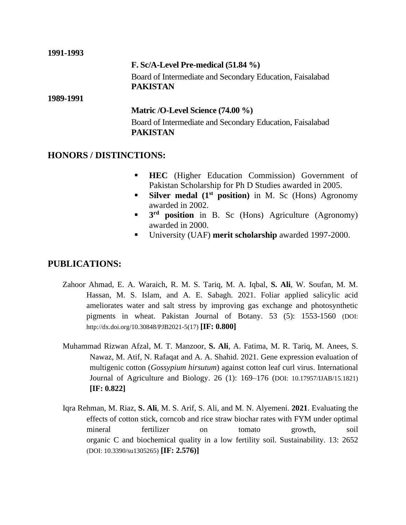#### **1991-1993**

#### **F. Sc/A-Level Pre-medical (51.84 %)**

Board of Intermediate and Secondary Education, Faisalabad **PAKISTAN**

#### **1989-1991**

#### **Matric /O-Level Science (74.00 %)**

Board of Intermediate and Secondary Education, Faisalabad **PAKISTAN** 

#### **HONORS / DISTINCTIONS:**

- **EXEC** (Higher Education Commission) Government of Pakistan Scholarship for Ph D Studies awarded in 2005.
- **Silver medal (1st position)** in M. Sc (Hons) Agronomy awarded in 2002.
- **3** 3<sup>rd</sup> **position** in B. Sc (Hons) Agriculture (Agronomy) awarded in 2000.
- University (UAF) **merit scholarship** awarded 1997-2000.

# **PUBLICATIONS:**

- Zahoor Ahmad, E. A. Waraich, R. M. S. Tariq, M. A. Iqbal, **S. Ali**, W. Soufan, M. M. Hassan, M. S. Islam, and A. E. Sabagh. 2021. Foliar applied salicylic acid ameliorates water and salt stress by improving gas exchange and photosynthetic pigments in wheat. Pakistan Journal of Botany. 53 (5): 1553-1560 (DOI: http://dx.doi.org/10.30848/PJB2021-5(17) **[IF: 0.800]**
- Muhammad Rizwan Afzal, M. T. Manzoor, **S. Ali**, A. Fatima, M. R. Tariq, M. Anees, S. Nawaz, M. Atif, N. Rafaqat and A. A. Shahid. 2021. Gene expression evaluation of multigenic cotton (*Gossypium hirsutum*) against cotton leaf curl virus. International Journal of Agriculture and Biology. 26 (1): 169–176 (DOI: 10.17957/IJAB/15.1821) **[IF: 0.822]**
- Iqra Rehman, M. Riaz, **S. Ali**, M. S. Arif, S. Ali, and M. N. Alyemeni. **2021**. Evaluating the effects of cotton stick, corncob and rice straw biochar rates with FYM under optimal mineral fertilizer on tomato growth, soil organic C and biochemical quality in a low fertility soil. Sustainability. 13: 2652 (DOI: 10.3390/su1305265) **[IF: 2.576)]**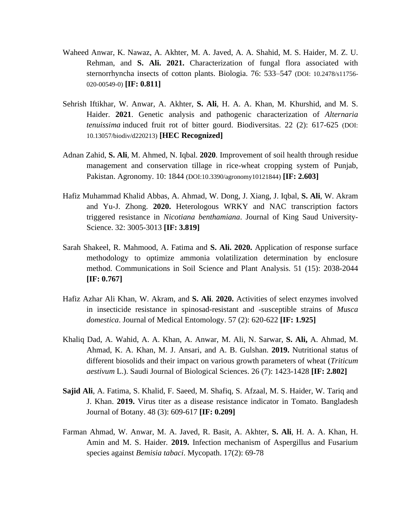- Waheed Anwar, K. Nawaz, A. Akhter, M. A. Javed, A. A. Shahid, M. S. Haider, M. Z. U. Rehman, and **S. Ali. 2021.** Characterization of fungal flora associated with sternorrhyncha insects of cotton plants. Biologia. 76: 533–547 (DOI: 10.2478/s11756- 020-00549-0) **[IF: 0.811]**
- Sehrish Iftikhar, W. Anwar, A. Akhter, **S. Ali**, H. A. A. Khan, M. Khurshid, and M. S. Haider. **2021**. Genetic analysis and pathogenic characterization of *Alternaria tenuissima* induced fruit rot of bitter gourd. Biodiversitas. 22 (2): 617-625 (DOI: 10.13057/biodiv/d220213) **[HEC Recognized]**
- Adnan Zahid, **S. Ali**, M. Ahmed, N. Iqbal. **2020**. Improvement of soil health through residue management and conservation tillage in rice-wheat cropping system of Punjab, Pakistan. Agronomy. 10: 1844 (DOI:10.3390/agronomy10121844) **[IF: 2.603]**
- Hafiz Muhammad Khalid Abbas, A. Ahmad, W. Dong, J. Xiang, J. Iqbal, **S. Ali**, W. Akram and Yu-J. Zhong. **2020.** Heterologous WRKY and NAC transcription factors triggered resistance in *Nicotiana benthamiana*. Journal of King Saud University-Science. 32: 3005-3013 **[IF: 3.819]**
- Sarah Shakeel, R. Mahmood, A. Fatima and **S. Ali. 2020.** Application of response surface methodology to optimize ammonia volatilization determination by enclosure method. Communications in Soil Science and Plant Analysis. 51 (15): 2038-2044 **[IF: 0.767]**
- Hafiz Azhar Ali Khan, W. Akram, and **S. Ali**. **2020.** Activities of select enzymes involved in insecticide resistance in spinosad-resistant and -susceptible strains of *Musca domestica*. Journal of Medical Entomology. 57 (2): 620-622 **[IF: 1.925]**
- [Khaliq](https://www.sciencedirect.com/science/article/pii/S1319562X18302183#!) Dad, [A. Wahid, A](https://www.sciencedirect.com/science/article/pii/S1319562X18302183#!). A. [Khan, A. Anwar, M. Ali, N](https://www.sciencedirect.com/science/article/pii/S1319562X18302183#!). [Sarwar,](https://www.sciencedirect.com/science/article/pii/S1319562X18302183#!) **[S. Ali,](https://www.sciencedirect.com/science/article/pii/S1319562X18302183#!)** [A. Ahmad, M.](https://www.sciencedirect.com/science/article/pii/S1319562X18302183#!)  [Ahmad, K](https://www.sciencedirect.com/science/article/pii/S1319562X18302183#!). A. [Khan,](https://www.sciencedirect.com/science/article/pii/S1319562X18302183#!) M. [J. Ansari, a](https://www.sciencedirect.com/science/article/pii/S1319562X18302183#!)nd A. [B. Gulshan.](https://www.sciencedirect.com/science/article/pii/S1319562X18302183#!) **2019.** Nutritional status of different biosolids and their impact on various growth parameters of wheat (*Triticum aestivum* L.). Saudi Journal of Biological Sciences. 26 (7): 1423-1428 **[IF: 2.802]**
- **Sajid Ali**, A. Fatima, S. Khalid, F. Saeed, M. Shafiq, S. Afzaal, M. S. Haider, W. Tariq and J. Khan. **2019.** Virus titer as a disease resistance indicator in Tomato. Bangladesh Journal of Botany. 48 (3): 609-617 **[IF: 0.209]**
- Farman Ahmad, W. Anwar, M. A. Javed, R. Basit, A. Akhter, **S. Ali**, H. A. A. Khan, H. Amin and M. S. Haider. **2019.** Infection mechanism of Aspergillus and Fusarium species against *Bemisia tabaci*. Mycopath. 17(2): 69-78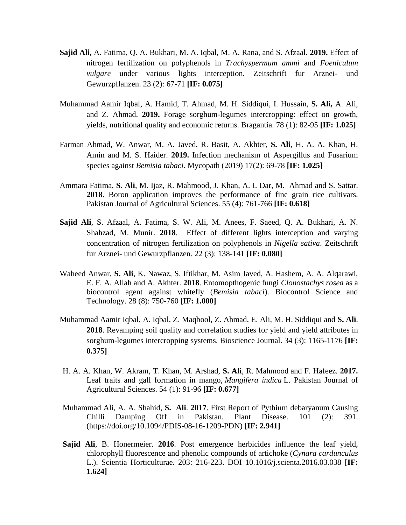- **Sajid Ali,** A. Fatima, Q. A. Bukhari, M. A. Iqbal, M. A. Rana, and S. Afzaal. **2019.** Effect of nitrogen fertilization on polyphenols in *Trachyspermum ammi* and *Foeniculum vulgare* under various lights interception. Zeitschrift fur Arznei- und Gewurzpflanzen. 23 (2): 67-71 **[IF: 0.075]**
- Muhammad Aamir Iqbal, A. Hamid, T. Ahmad, M. H. Siddiqui, I. Hussain, **S. Ali,** A. Ali, and Z. Ahmad. **2019.** Forage sorghum-legumes intercropping: effect on growth, yields, nutritional quality and economic returns. Bragantia. 78 (1): 82-95 **[IF: 1.025]**
- Farman Ahmad, W. Anwar, M. A. Javed, R. Basit, A. Akhter, **S. Ali**, H. A. A. Khan, H. Amin and M. S. Haider. **2019.** Infection mechanism of Aspergillus and Fusarium species against *Bemisia tabaci*. Mycopath (2019) 17(2): 69-78 **[IF: 1.025]**
- Ammara Fatima, **S. Ali**, M. Ijaz, R. Mahmood, J. Khan, A. I. Dar, M. Ahmad and S. Sattar. **2018**. Boron application improves the performance of fine grain rice cultivars. Pakistan Journal of Agricultural Sciences. 55 (4): 761-766 **[IF: 0.618]**
- **Sajid Ali**, S. Afzaal, A. Fatima, S. W. Ali, M. Anees, F. Saeed, Q. A. Bukhari, A. N. Shahzad, M. Munir. **2018**. Effect of different lights interception and varying concentration of nitrogen fertilization on polyphenols in *Nigella sativa*. Zeitschrift fur Arznei- und Gewurzpflanzen. 22 (3): 138-141 **[IF: 0.080]**
- Waheed Anwar, **S. Ali**, K. Nawaz, S. Iftikhar, M. Asim Javed, A. Hashem, A. A. Alqarawi, E. F. A. Allah and A. Akhter. **2018**. Entomopthogenic fungi *Clonostachys rosea* as a biocontrol agent against whitefly (*Bemisia tabaci*). Biocontrol Science and Technology. 28 (8): 750-760 **[IF: 1.000]**
- Muhammad Aamir Iqbal, A. Iqbal, Z. Maqbool, Z. Ahmad, E. Ali, M. H. Siddiqui and **S. Ali**. **2018**. Revamping soil quality and correlation studies for yield and yield attributes in sorghum-legumes intercropping systems. Bioscience Journal. 34 (3): 1165-1176 **[IF: 0.375]**
- H. A. A. Khan, W. Akram, T. Khan, M. Arshad, **S. Ali**, R. Mahmood and F. Hafeez. **2017.** Leaf traits and gall formation in mango, *Mangifera indica* L. Pakistan Journal of Agricultural Sciences. 54 (1): 91-96 **[IF: 0.677]**
- Muhammad Ali, A. A. Shahid, **S. Ali**. **2017**. First Report of Pythium debaryanum Causing Chilli Damping Off in Pakistan. Plant Disease. 101 (2): 391. (https://doi.org/10.1094/PDIS-08-16-1209-PDN) [**IF: 2.941]**
- **Sajid Ali**, B. Honermeier. **2016**. Post emergence herbicides influence the leaf yield, chlorophyll fluorescence and phenolic compounds of artichoke (*Cynara cardunculus* L.). Scientia Horticulturae**.** 203: 216-223. DOI 10.1016/j.scienta.2016.03.038 [**IF: 1.624]**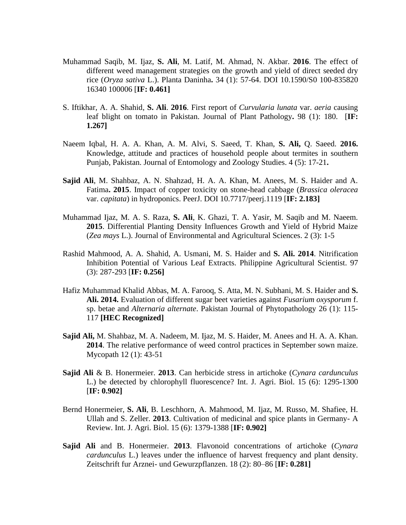- Muhammad Saqib, M. Ijaz, **S. Ali**, M. Latif, M. Ahmad, N. Akbar. **2016**. The effect of different weed management strategies on the growth and yield of direct seeded dry rice (*Oryza sativa* L.). Planta Daninha**.** 34 (1): 57-64. DOI 10.1590/S0 100-835820 16340 100006 [**IF: 0.461]**
- S. Iftikhar, A. A. Shahid, **S. Ali**. **2016**. First report of *Curvularia lunata* var. *aeria* causing leaf blight on tomato in Pakistan. Journal of Plant Pathology**.** 98 (1): 180. [**IF: 1.267]**
- Naeem Iqbal, H. A. A. Khan, A. M. Alvi, S. Saeed, T. Khan, **S. Ali,** Q. Saeed. **2016.**  Knowledge, attitude and practices of household people about termites in southern Punjab, Pakistan. Journal of Entomology and Zoology Studies. 4 (5): 17-21**.**
- **Sajid Ali**, M. Shahbaz, A. N. Shahzad, H. A. A. Khan, M. Anees, M. S. Haider and A. Fatima**. 2015**. Impact of copper toxicity on stone-head cabbage (*Brassica oleracea* var. *capitata*) in hydroponics. PeerJ. DOI 10.7717/peerj.1119 [**IF: 2.183]**
- Muhammad Ijaz, M. A. S. Raza, **S. Ali**, K. Ghazi, T. A. Yasir, M. Saqib and M. Naeem. **2015**. Differential Planting Density Influences Growth and Yield of Hybrid Maize (*Zea mays* L.). Journal of Environmental and Agricultural Sciences. 2 (3): 1-5
- Rashid Mahmood, A. A. Shahid, A. Usmani, M. S. Haider and **S. Ali. 2014**. Nitrification Inhibition Potential of Various Leaf Extracts. Philippine Agricultural Scientist. 97 (3): 287-293 [**IF: 0.256]**
- Hafiz Muhammad Khalid Abbas, M. A. Farooq, S. Atta, M. N. Subhani, M. S. Haider and **S. Ali. 2014.** Evaluation of different sugar beet varieties against *Fusarium oxysporum* f. sp. betae and *Alternaria alternate*. Pakistan Journal of Phytopathology 26 (1): 115- 117 **[HEC Recognized]**
- **Sajid Ali,** M. Shahbaz, M. A. Nadeem, M. Ijaz, M. S. Haider, M. Anees and H. A. A. Khan. **2014**. The relative performance of weed control practices in September sown maize. Mycopath 12 (1): 43-51
- **Sajid Ali** & B. Honermeier. **2013**. Can herbicide stress in artichoke (*Cynara cardunculus* L.) be detected by chlorophyll fluorescence? Int. J. Agri. Biol. 15 (6): 1295-1300 [**IF: 0.902]**
- Bernd Honermeier, **S. Ali**, B. Leschhorn, A. Mahmood, M. Ijaz, M. Russo, M. Shafiee, H. Ullah and S. Zeller. **2013**. Cultivation of medicinal and spice plants in Germany- A Review. Int. J. Agri. Biol. 15 (6): 1379-1388 [**IF: 0.902]**
- **Sajid Ali** and B. Honermeier. **2013**. Flavonoid concentrations of artichoke (*Cynara cardunculus* L.) leaves under the influence of harvest frequency and plant density. Zeitschrift fur Arznei- und Gewurzpflanzen. 18 (2): 80–86 [**IF: 0.281]**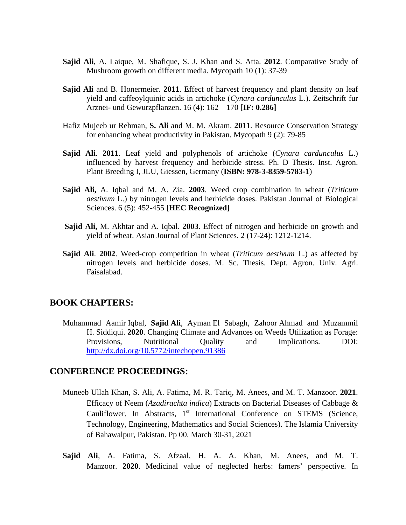- **Sajid Ali**, A. Laique, M. Shafique, S. J. Khan and S. Atta. **2012**. Comparative Study of Mushroom growth on different media. Mycopath 10 (1): 37-39
- **Sajid Ali** and B. Honermeier. **2011**. Effect of harvest frequency and plant density on leaf yield and caffeoylquinic acids in artichoke (*Cynara cardunculus* L.). Zeitschrift fur Arznei- und Gewurzpflanzen. 16 (4): 162 – 170 [**IF: 0.286]**
- Hafiz Mujeeb ur Rehman, **S. Ali** and M. M. Akram. **2011**. Resource Conservation Strategy for enhancing wheat productivity in Pakistan. Mycopath 9 (2): 79-85
- **Sajid Ali**. **2011**. Leaf yield and polyphenols of artichoke (*Cynara cardunculus* L.) influenced by harvest frequency and herbicide stress. Ph. D Thesis. Inst. Agron. Plant Breeding I, JLU, Giessen, Germany (**ISBN: 978-3-8359-5783-1**)
- **Sajid Ali,** A. Iqbal and M. A. Zia. **2003**. Weed crop combination in wheat (*Triticum aestivum* L.) by nitrogen levels and herbicide doses. Pakistan Journal of Biological Sciences. 6 (5): 452-455 **[HEC Recognized]**
- **Sajid Ali,** M. Akhtar and A. Iqbal. **2003**. Effect of nitrogen and herbicide on growth and yield of wheat. Asian Journal of Plant Sciences. 2 (17-24): 1212-1214.
- **Sajid Ali**. **2002**. Weed-crop competition in wheat (*Triticum aestivum* L.) as affected by nitrogen levels and herbicide doses. M. Sc. Thesis. Dept. Agron. Univ. Agri. Faisalabad.

#### **BOOK CHAPTERS:**

Muhammad Aamir Iqbal, **Sajid Ali**, Ayman El Sabagh, Zahoor Ahmad and Muzammil H. Siddiqui. **2020**. Changing Climate and Advances on Weeds Utilization as Forage: Provisions, Nutritional Quality and Implications. DOI: <http://dx.doi.org/10.5772/intechopen.91386>

#### **CONFERENCE PROCEEDINGS:**

- Muneeb Ullah Khan, S. Ali, A. Fatima, M. R. Tariq, M. Anees, and M. T. Manzoor. **2021**. Efficacy of Neem (*Azadirachta indica*) Extracts on Bacterial Diseases of Cabbage & Cauliflower. In Abstracts, 1<sup>st</sup> International Conference on STEMS (Science, Technology, Engineering, Mathematics and Social Sciences). The Islamia University of Bahawalpur, Pakistan. Pp 00. March 30-31, 2021
- **Sajid Ali**, A. Fatima, S. Afzaal, H. A. A. Khan, M. Anees, and M. T. Manzoor. **2020**. Medicinal value of neglected herbs: famers' perspective. In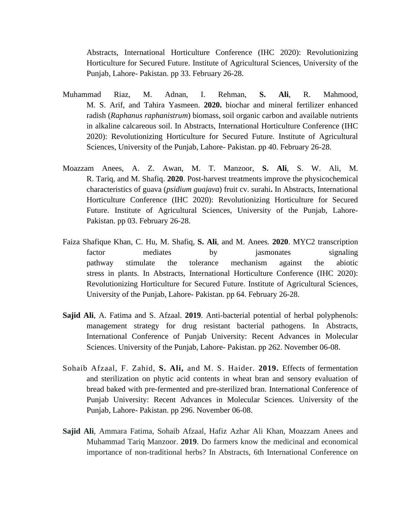Abstracts, International Horticulture Conference (IHC 2020): Revolutionizing Horticulture for Secured Future. Institute of Agricultural Sciences, University of the Punjab, Lahore- Pakistan. pp 33. February 26-28.

- Muhammad Riaz, M. Adnan, I. Rehman, **S. Ali**, R. Mahmood, M. S. Arif, and Tahira Yasmeen. **2020.** biochar and mineral fertilizer enhanced radish (*Raphanus raphanistrum*) biomass, soil organic carbon and available nutrients in alkaline calcareous soil. In Abstracts, International Horticulture Conference (IHC 2020): Revolutionizing Horticulture for Secured Future. Institute of Agricultural Sciences, University of the Punjab, Lahore- Pakistan. pp 40. February 26-28.
- Moazzam Anees, A. Z. Awan, M. T. Manzoor, **S. Ali**, S. W. Ali, M. R. Tariq, and M. Shafiq. **2020**. Post-harvest treatments improve the physicochemical characteristics of guava (*psidium guajava*) fruit cv. surahi**.** In Abstracts, International Horticulture Conference (IHC 2020): Revolutionizing Horticulture for Secured Future. Institute of Agricultural Sciences, University of the Punjab, Lahore-Pakistan. pp 03. February 26-28.
- Faiza Shafique Khan, C. Hu, M. Shafiq, **S. Ali**, and M. Anees. **2020**. MYC2 transcription factor mediates by jasmonates signaling pathway stimulate the tolerance mechanism against the abiotic stress in plants. In Abstracts, International Horticulture Conference (IHC 2020): Revolutionizing Horticulture for Secured Future. Institute of Agricultural Sciences, University of the Punjab, Lahore- Pakistan. pp 64. February 26-28.
- **Sajid Ali**, A. Fatima and S. Afzaal. **2019**. Anti-bacterial potential of herbal polyphenols: management strategy for drug resistant bacterial pathogens. In Abstracts, International Conference of Punjab University: Recent Advances in Molecular Sciences. University of the Punjab, Lahore- Pakistan. pp 262. November 06-08.
- Sohaib Afzaal, F. Zahid, **S. Ali,** and M. S. Haider. **2019.** Effects of fermentation and sterilization on phytic acid contents in wheat bran and sensory evaluation of bread baked with pre-fermented and pre-sterilized bran. International Conference of Punjab University: Recent Advances in Molecular Sciences. University of the Punjab, Lahore- Pakistan. pp 296. November 06-08.
- **Sajid Ali**, Ammara Fatima, Sohaib Afzaal, Hafiz Azhar Ali Khan, Moazzam Anees and Muhammad Tariq Manzoor. **2019**. Do farmers know the medicinal and economical importance of non-traditional herbs? In Abstracts, 6th International Conference on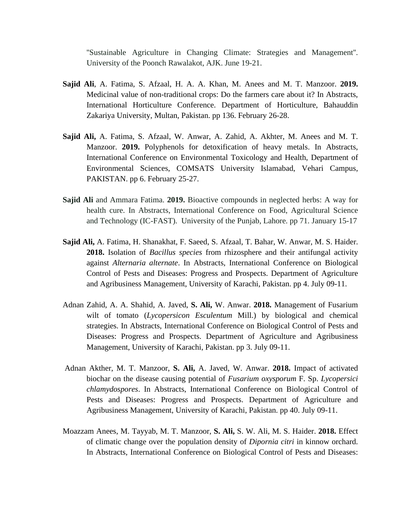''Sustainable Agriculture in Changing Climate: Strategies and Management''. University of the Poonch Rawalakot, AJK. June 19-21.

- **Sajid Ali**, A. Fatima, S. Afzaal, H. A. A. Khan, M. Anees and M. T. Manzoor. **2019.** Medicinal value of non-traditional crops: Do the farmers care about it? In Abstracts, International Horticulture Conference. Department of Horticulture, Bahauddin Zakariya University, Multan, Pakistan. pp 136. February 26-28.
- **Sajid Ali,** A. Fatima, S. Afzaal, W. Anwar, A. Zahid, A. Akhter, M. Anees and M. T. Manzoor. **2019.** Polyphenols for detoxification of heavy metals. In Abstracts, International Conference on Environmental Toxicology and Health, Department of Environmental Sciences, COMSATS University Islamabad, Vehari Campus, PAKISTAN. pp 6. February 25-27.
- **Sajid Ali** and Ammara Fatima. **2019.** Bioactive compounds in neglected herbs: A way for health cure. In Abstracts, International Conference on Food, Agricultural Science and Technology (IC-FAST). University of the Punjab, Lahore. pp 71. January 15-17
- **Sajid Ali,** A. Fatima, H. Shanakhat, F. Saeed, S. Afzaal, T. Bahar, W. Anwar, M. S. Haider. **2018.** Isolation of *Bacillus species* from rhizosphere and their antifungal activity against *Alternaria alternate*. In Abstracts, International Conference on Biological Control of Pests and Diseases: Progress and Prospects. Department of Agriculture and Agribusiness Management, University of Karachi, Pakistan. pp 4. July 09-11.
- Adnan Zahid, A. A. Shahid, A. Javed, **S. Ali,** W. Anwar. **2018.** Management of Fusarium wilt of tomato (*Lycopersicon Esculentum* Mill.) by biological and chemical strategies. In Abstracts, International Conference on Biological Control of Pests and Diseases: Progress and Prospects. Department of Agriculture and Agribusiness Management, University of Karachi, Pakistan. pp 3. July 09-11.
- Adnan Akther, M. T. Manzoor, **S. Ali,** A. Javed, W. Anwar. **2018.** Impact of activated biochar on the disease causing potential of *Fusarium oxysporum* F. Sp. *Lycopersici chlamydospores*. In Abstracts, International Conference on Biological Control of Pests and Diseases: Progress and Prospects. Department of Agriculture and Agribusiness Management, University of Karachi, Pakistan. pp 40. July 09-11.
- Moazzam Anees, M. Tayyab, M. T. Manzoor, **S. Ali,** S. W. Ali, M. S. Haider. **2018.** Effect of climatic change over the population density of *Dipornia citri* in kinnow orchard. In Abstracts, International Conference on Biological Control of Pests and Diseases: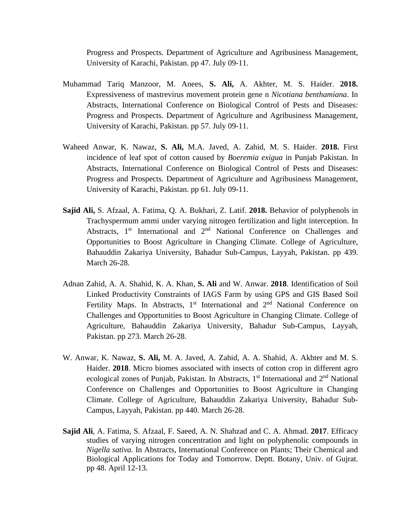Progress and Prospects. Department of Agriculture and Agribusiness Management, University of Karachi, Pakistan. pp 47. July 09-11.

- Muhammad Tariq Manzoor, M. Anees, **S. Ali,** A. Akhter, M. S. Haider. **2018.** Expressiveness of mastrevirus movement protein gene n *Nicotiana benthamiana*. In Abstracts, International Conference on Biological Control of Pests and Diseases: Progress and Prospects. Department of Agriculture and Agribusiness Management, University of Karachi, Pakistan. pp 57. July 09-11.
- Waheed Anwar, K. Nawaz, **S. Ali,** M.A. Javed, A. Zahid, M. S. Haider. **2018.** First incidence of leaf spot of cotton caused by *Boeremia exigua* in Punjab Pakistan. In Abstracts, International Conference on Biological Control of Pests and Diseases: Progress and Prospects. Department of Agriculture and Agribusiness Management, University of Karachi, Pakistan. pp 61. July 09-11.
- **Sajid Ali,** S. Afzaal, A. Fatima, Q. A. Bukhari, Z. Latif. **2018.** Behavior of polyphenols in Trachyspermum ammi under varying nitrogen fertilization and light interception. In Abstracts, 1<sup>st</sup> International and 2<sup>nd</sup> National Conference on Challenges and Opportunities to Boost Agriculture in Changing Climate. College of Agriculture, Bahauddin Zakariya University, Bahadur Sub-Campus, Layyah, Pakistan. pp 439. March 26-28.
- Adnan Zahid, A. A. Shahid, K. A. Khan, **S. Ali** and W. Anwar. **2018**. Identification of Soil Linked Productivity Constraints of IAGS Farm by using GPS and GIS Based Soil Fertility Maps. In Abstracts,  $1<sup>st</sup>$  International and  $2<sup>nd</sup>$  National Conference on Challenges and Opportunities to Boost Agriculture in Changing Climate. College of Agriculture, Bahauddin Zakariya University, Bahadur Sub-Campus, Layyah, Pakistan. pp 273. March 26-28.
- W. Anwar, K. Nawaz, **S. Ali,** M. A. Javed, A. Zahid, A. A. Shahid, A. Akhter and M. S. Haider. **2018**. Micro biomes associated with insects of cotton crop in different agro ecological zones of Punjab, Pakistan. In Abstracts,  $1<sup>st</sup>$  International and  $2<sup>nd</sup>$  National Conference on Challenges and Opportunities to Boost Agriculture in Changing Climate. College of Agriculture, Bahauddin Zakariya University, Bahadur Sub-Campus, Layyah, Pakistan. pp 440. March 26-28.
- **Sajid Ali**, A. Fatima, S. Afzaal, F. Saeed, A. N. Shahzad and C. A. Ahmad. **2017**. Efficacy studies of varying nitrogen concentration and light on polyphenolic compounds in *Nigella sativa.* In Abstracts, International Conference on Plants; Their Chemical and Biological Applications for Today and Tomorrow. Deptt. Botany, Univ. of Gujrat. pp 48. April 12-13.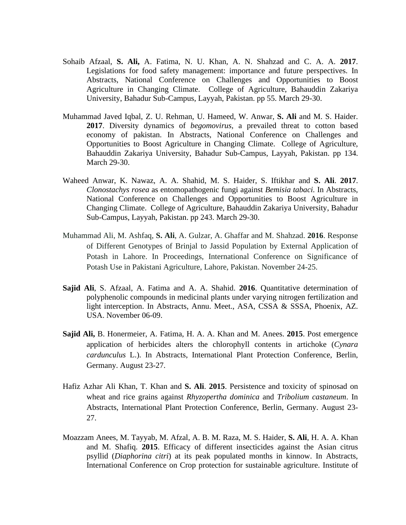- Sohaib Afzaal, **S. Ali,** A. Fatima, N. U. Khan, A. N. Shahzad and C. A. A. **2017**. Legislations for food safety management: importance and future perspectives. In Abstracts, National Conference on Challenges and Opportunities to Boost Agriculture in Changing Climate. College of Agriculture, Bahauddin Zakariya University, Bahadur Sub-Campus, Layyah, Pakistan. pp 55. March 29-30.
- Muhammad Javed Iqbal, Z. U. Rehman, U. Hameed, W. Anwar, **S. Ali** and M. S. Haider. **2017**. Diversity dynamics of *begomovirus,* a prevailed threat to cotton based economy of pakistan. In Abstracts, National Conference on Challenges and Opportunities to Boost Agriculture in Changing Climate. College of Agriculture, Bahauddin Zakariya University, Bahadur Sub-Campus, Layyah, Pakistan. pp 134. March 29-30.
- Waheed Anwar, K. Nawaz, A. A. Shahid, M. S. Haider, S. Iftikhar and **S. Ali**. **2017**. *Clonostachys rosea* as entomopathogenic fungi against *Bemisia tabaci.* In Abstracts, National Conference on Challenges and Opportunities to Boost Agriculture in Changing Climate. College of Agriculture, Bahauddin Zakariya University, Bahadur Sub-Campus, Layyah, Pakistan. pp 243. March 29-30.
- Muhammad Ali, M. Ashfaq, **S. Ali**, A. Gulzar, A. Ghaffar and M. Shahzad. **2016**. Response of Different Genotypes of Brinjal to Jassid Population by External Application of Potash in Lahore. In Proceedings, International Conference on Significance of Potash Use in Pakistani Agriculture, Lahore, Pakistan. November 24-25.
- **Sajid Ali**, S. Afzaal, A. Fatima and A. A. Shahid. **2016**. Quantitative determination of polyphenolic compounds in medicinal plants under varying nitrogen fertilization and light interception. In Abstracts, Annu. Meet., ASA, CSSA & SSSA, Phoenix, AZ. USA. November 06-09.
- **Sajid Ali,** B. Honermeier, A. Fatima, H. A. A. Khan and M. Anees. **2015**. Post emergence application of herbicides alters the chlorophyll contents in artichoke (*Cynara cardunculus* L.). In Abstracts, International Plant Protection Conference, Berlin, Germany. August 23-27.
- Hafiz Azhar Ali Khan, T. Khan and **S. Ali**. **2015**. Persistence and toxicity of spinosad on wheat and rice grains against *Rhyzopertha dominica* and *Tribolium castaneum*. In Abstracts, International Plant Protection Conference, Berlin, Germany. August 23- 27.
- Moazzam Anees, M. Tayyab, M. Afzal, A. B. M. Raza, M. S. Haider, **S. Ali**, H. A. A. Khan and M. Shafiq. **2015**. Efficacy of different insecticides against the Asian citrus psyllid (*Diaphorina citri*) at its peak populated months in kinnow. In Abstracts, International Conference on Crop protection for sustainable agriculture. Institute of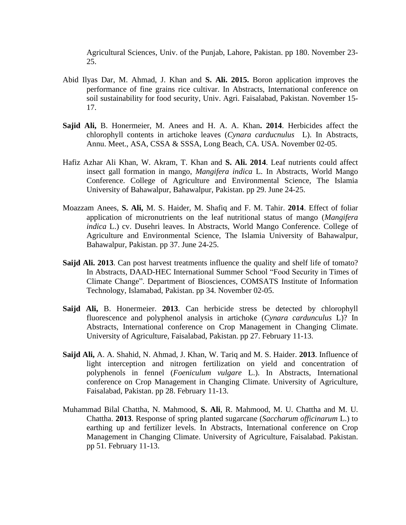Agricultural Sciences, Univ. of the Punjab, Lahore, Pakistan. pp 180. November 23- 25.

- Abid Ilyas Dar, M. Ahmad, J. Khan and **S. Ali. 2015.** Boron application improves the performance of fine grains rice cultivar. In Abstracts, International conference on soil sustainability for food security, Univ. Agri. Faisalabad, Pakistan. November 15- 17.
- **Sajid Ali,** B. Honermeier, M. Anees and H. A. A. Khan**. 2014**. Herbicides affect the chlorophyll contents in artichoke leaves (*Cynara carducnulus* L). In Abstracts, Annu. Meet., ASA, CSSA & SSSA, Long Beach, CA. USA. November 02-05.
- Hafiz Azhar Ali Khan, W. Akram, T. Khan and **S. Ali. 2014**. Leaf nutrients could affect insect gall formation in mango, *Mangifera indica* L. In Abstracts, World Mango Conference. College of Agriculture and Environmental Science, The Islamia University of Bahawalpur, Bahawalpur, Pakistan. pp 29. June 24-25.
- Moazzam Anees, **S. Ali,** M. S. Haider, M. Shafiq and F. M. Tahir. **2014**. Effect of foliar application of micronutrients on the leaf nutritional status of mango (*Mangifera indica* L.) cv. Dusehri leaves. In Abstracts, World Mango Conference. College of Agriculture and Environmental Science, The Islamia University of Bahawalpur, Bahawalpur, Pakistan. pp 37. June 24-25.
- **Saijd Ali. 2013**. Can post harvest treatments influence the quality and shelf life of tomato? In Abstracts, DAAD-HEC International Summer School "Food Security in Times of Climate Change". Department of Biosciences, COMSATS Institute of Information Technology, Islamabad, Pakistan. pp 34. November 02-05.
- **Saijd Ali,** B. Honermeier. **2013**. Can herbicide stress be detected by chlorophyll fluorescence and polyphenol analysis in artichoke (*Cynara cardunculus* L)? In Abstracts, International conference on Crop Management in Changing Climate. University of Agriculture, Faisalabad, Pakistan. pp 27. February 11-13.
- **Saijd Ali,** A. A. Shahid, N. Ahmad, J. Khan, W. Tariq and M. S. Haider. **2013**. Influence of light interception and nitrogen fertilization on yield and concentration of polyphenols in fennel (*Foeniculum vulgare* L.). In Abstracts, International conference on Crop Management in Changing Climate. University of Agriculture, Faisalabad, Pakistan. pp 28. February 11-13.
- Muhammad Bilal Chattha, N. Mahmood, **S. Ali**, R. Mahmood, M. U. Chattha and M. U. Chattha. **2013**. Response of spring planted sugarcane (*Saccharum officinarum* L.) to earthing up and fertilizer levels. In Abstracts, International conference on Crop Management in Changing Climate. University of Agriculture, Faisalabad. Pakistan. pp 51. February 11-13.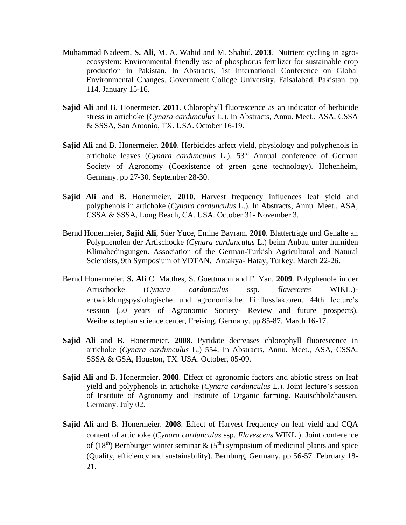- Muhammad Nadeem, **S. Ali**, M. A. Wahid and M. Shahid. **2013**. Nutrient cycling in agroecosystem: Environmental friendly use of phosphorus fertilizer for sustainable crop production in Pakistan. In Abstracts, 1st International Conference on Global Environmental Changes. Government College University, Faisalabad, Pakistan. pp 114. January 15-16.
- **Sajid Ali** and B. Honermeier. **2011**. Chlorophyll fluorescence as an indicator of herbicide stress in artichoke (*Cynara cardunculus* L.). In Abstracts, Annu. Meet., ASA, CSSA & SSSA, San Antonio, TX. USA. October 16-19.
- **Sajid Ali** and B. Honermeier. **2010**. Herbicides affect yield, physiology and polyphenols in artichoke leaves (*Cynara cardunculus* L.). 53rd Annual conference of German Society of Agronomy (Coexistence of green gene technology). Hohenheim, Germany. pp 27-30. September 28-30.
- **Sajid Ali** and B. Honermeier. **2010**. Harvest frequency influences leaf yield and polyphenols in artichoke (*Cynara cardunculus* L.). In Abstracts, Annu. Meet., ASA, CSSA & SSSA, Long Beach, CA. USA. October 31- November 3.
- Bernd Honermeier, **Sajid Ali**, Süer Yüce, Emine Bayram. **2010**. Blatterträge und Gehalte an Polyphenolen der Artischocke (*Cynara cardunculus* L.) beim Anbau unter humiden Klimabedingungen. Association of the German-Turkish Agricultural and Natural Scientists, 9th Symposium of VDTAN. Antakya- Hatay, Turkey. March 22-26.
- Bernd Honermeier, **S. Ali** C. Matthes, S. Goettmann and F. Yan. **2009**. Polyphenole in der Artischocke (*Cynara cardunculus* ssp. f*lavescens* WIKL.) entwicklungspysiologische und agronomische Einflussfaktoren. 44th lecture's session (50 years of Agronomic Society- Review and future prospects). Weihensttephan science center, Freising, Germany. pp 85-87. March 16-17.
- **Sajid Ali** and B. Honermeier. **2008**. Pyridate decreases chlorophyll fluorescence in artichoke (*Cynara cardunculus* L.) 554. In Abstracts, Annu. Meet., ASA, CSSA, SSSA & GSA, Houston, TX. USA. October, 05-09.
- **Sajid Ali** and B. Honermeier. **2008**. Effect of agronomic factors and abiotic stress on leaf yield and polyphenols in artichoke (*Cynara cardunculus* L.). Joint lecture's session of Institute of Agronomy and Institute of Organic farming. Rauischholzhausen, Germany. July 02.
- **Sajid Ali** and B. Honermeier. **2008**. Effect of Harvest frequency on leaf yield and CQA content of artichoke (*Cynara cardunculus* ssp. *Flavescens* WIKL.). Joint conference of (18<sup>th</sup>) Bernburger winter seminar  $\&$  (5<sup>th</sup>) symposium of medicinal plants and spice (Quality, efficiency and sustainability). Bernburg, Germany. pp 56-57. February 18- 21.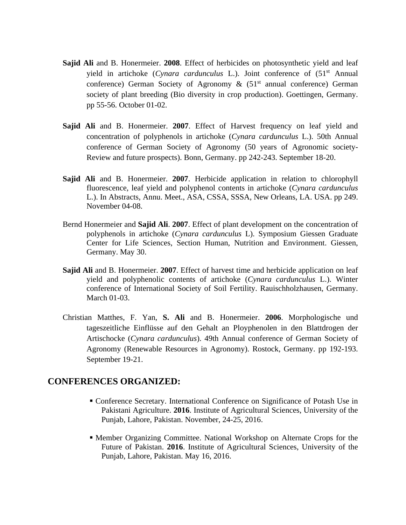- **Sajid Ali** and B. Honermeier. **2008**. Effect of herbicides on photosynthetic yield and leaf yield in artichoke (Cynara cardunculus L.). Joint conference of (51<sup>st</sup> Annual conference) German Society of Agronomy  $\&$  (51<sup>st</sup> annual conference) German society of plant breeding (Bio diversity in crop production). Goettingen, Germany. pp 55-56. October 01-02.
- **Sajid Ali** and B. Honermeier. **2007**. Effect of Harvest frequency on leaf yield and concentration of polyphenols in artichoke (*Cynara cardunculus* L.). 50th Annual conference of German Society of Agronomy (50 years of Agronomic society-Review and future prospects). Bonn, Germany. pp 242-243. September 18-20.
- **Sajid Ali** and B. Honermeier. **2007**. Herbicide application in relation to chlorophyll fluorescence, leaf yield and polyphenol contents in artichoke (*Cynara cardunculus*  L.). In Abstracts, Annu. Meet., ASA, CSSA, SSSA, New Orleans, LA. USA. pp 249. November 04-08.
- Bernd Honermeier and **Sajid Ali**. **2007**. Effect of plant development on the concentration of polyphenols in artichoke (*Cynara cardunculus* L). Symposium Giessen Graduate Center for Life Sciences, Section Human, Nutrition and Environment. Giessen, Germany. May 30.
- **Sajid Ali** and B. Honermeier. **2007**. Effect of harvest time and herbicide application on leaf yield and polyphenolic contents of artichoke (*Cynara cardunculus* L.). Winter conference of International Society of Soil Fertility. Rauischholzhausen, Germany. March 01-03.
- Christian Matthes, F. Yan, **S. Ali** and B. Honermeier. **2006**. Morphologische und tageszeitliche Einflüsse auf den Gehalt an Ployphenolen in den Blattdrogen der Artischocke (*Cynara cardunculus*). 49th Annual conference of German Society of Agronomy (Renewable Resources in Agronomy). Rostock, Germany. pp 192-193. September 19-21.

#### **CONFERENCES ORGANIZED:**

- Conference Secretary. International Conference on Significance of Potash Use in Pakistani Agriculture. **2016**. Institute of Agricultural Sciences, University of the Punjab, Lahore, Pakistan. November, 24-25, 2016.
- Member Organizing Committee. National Workshop on Alternate Crops for the Future of Pakistan. **2016**. Institute of Agricultural Sciences, University of the Punjab, Lahore, Pakistan. May 16, 2016.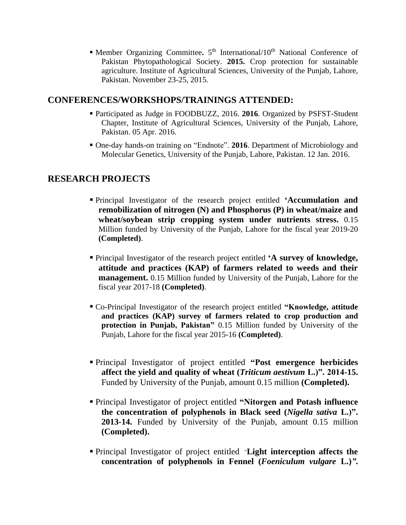**International** Anatomal/10<sup>th</sup> National Conference of Pakistan Phytopathological Society. **2015.** Crop protection for sustainable agriculture. Institute of Agricultural Sciences, University of the Punjab, Lahore, Pakistan. November 23-25, 2015.

# **CONFERENCES/WORKSHOPS/TRAININGS ATTENDED:**

- Participated as Judge in FOODBUZZ, 2016. **2016**. Organized by PSFST-Student Chapter, Institute of Agricultural Sciences, University of the Punjab, Lahore, Pakistan. 05 Apr. 2016.
- One-day hands-on training on "Endnote". **2016**. Department of Microbiology and Molecular Genetics, University of the Punjab, Lahore, Pakistan. 12 Jan. 2016.

# **RESEARCH PROJECTS**

- Principal Investigator of the research project entitled **'Accumulation and remobilization of nitrogen (N) and Phosphorus (P) in wheat/maize and wheat/soybean strip cropping system under nutrients stress.** 0.15 Million funded by University of the Punjab, Lahore for the fiscal year 2019-20 **(Completed)**.
- Principal Investigator of the research project entitled **'A survey of knowledge, attitude and practices (KAP) of farmers related to weeds and their management.** 0.15 Million funded by University of the Punjab, Lahore for the fiscal year 2017-18 **(Completed)**.
- Co-Principal Investigator of the research project entitled **"Knowledge, attitude and practices (KAP) survey of farmers related to crop production and protection in Punjab, Pakistan"** 0.15 Million funded by University of the Punjab, Lahore for the fiscal year 2015-16 **(Completed)**.
- Principal Investigator of project entitled **"Post emergence herbicides affect the yield and quality of wheat (***Triticum aestivum* **L.)". 2014-15.**  Funded by University of the Punjab, amount 0.15 million **(Completed).**
- Principal Investigator of project entitled **"Nitorgen and Potash influence the concentration of polyphenols in Black seed (***Nigella sativa* **L.)". 2013-14.** Funded by University of the Punjab, amount 0.15 million **(Completed).**
- Principal Investigator of project entitled *"***Light interception affects the concentration of polyphenols in Fennel (***Foeniculum vulgare* **L.)***"***.**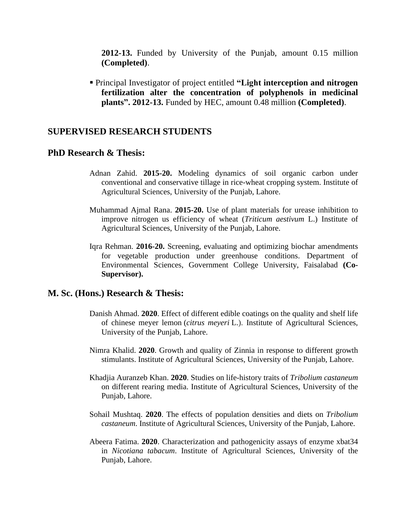**2012-13.** Funded by University of the Punjab, amount 0.15 million **(Completed)**.

▪ Principal Investigator of project entitled **"Light interception and nitrogen fertilization alter the concentration of polyphenols in medicinal plants". 2012-13.** Funded by HEC, amount 0.48 million **(Completed)**.

### **SUPERVISED RESEARCH STUDENTS**

#### **PhD Research & Thesis:**

- Adnan Zahid. **2015-20.** Modeling dynamics of soil organic carbon under conventional and conservative tillage in rice-wheat cropping system. Institute of Agricultural Sciences, University of the Punjab, Lahore.
- Muhammad Ajmal Rana. **2015-20.** Use of plant materials for urease inhibition to improve nitrogen us efficiency of wheat (*Triticum aestivum* L.) Institute of Agricultural Sciences, University of the Punjab, Lahore.
- Iqra Rehman. **2016-20.** Screening, evaluating and optimizing biochar amendments for vegetable production under greenhouse conditions. Department of Environmental Sciences, Government College University, Faisalabad **(Co-Supervisor).**

#### **M. Sc. (Hons.) Research & Thesis:**

- Danish Ahmad. **2020**. Effect of different edible coatings on the quality and shelf life of chinese meyer lemon (*citrus meyeri* L.). Institute of Agricultural Sciences, University of the Punjab, Lahore.
- Nimra Khalid. **2020**. Growth and quality of Zinnia in response to different growth stimulants. Institute of Agricultural Sciences, University of the Punjab, Lahore.
- Khadjia Auranzeb Khan. **2020**. Studies on life-history traits of *Tribolium castaneum* on different rearing media. Institute of Agricultural Sciences, University of the Punjab, Lahore.
- Sohail Mushtaq. **2020**. The effects of population densities and diets on *Tribolium castaneum*. Institute of Agricultural Sciences, University of the Punjab, Lahore.
- Abeera Fatima. **2020**. Characterization and pathogenicity assays of enzyme xbat34 in *Nicotiana tabacum*. Institute of Agricultural Sciences, University of the Punjab, Lahore.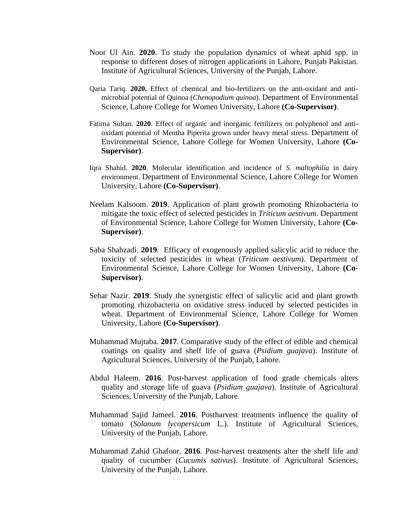- Noor Ul Ain. **2020**. To study the population dynamics of wheat aphid spp. in response to different doses of nitrogen applications in Lahore, Punjab Pakistan. Institute of Agricultural Sciences, University of the Punjab, Lahore.
- Qaria Tariq. **2020.** Effect of chemical and bio-fertilizers on the anti-oxidant and antimicrobial potential of Quinoa (*Chenopodium quinoa*). Department of Environmental Science, Lahore College for Women University, Lahore **(Co-Supervisor)**.
- Fatima Sultan. **2020**. Effect of organic and inorganic fertilizers on polyphenol and antioxidant potential of Mentha Piperita grown under heavy metal stress. Department of Environmental Science, Lahore College for Women University, Lahore **(Co-Supervisor)**.
- Iqra Shahid. **2020**. Molecular identification and incidence of *S. maltophilia* in dairy environment. Department of Environmental Science, Lahore College for Women University, Lahore **(Co-Supervisor)**.
- Neelam Kalsoom. **2019**. Application of plant growth promoting Rhizobacteria to mitigate the toxic effect of selected pesticides in *Triticum aestivum*. Department of Environmental Science, Lahore College for Women University, Lahore **(Co-Supervisor)**.
- Saba Shahzadi. **2019**. Efficacy of exogenously applied salicylic acid to reduce the toxicity of selected pesticides in wheat (*Triticum aestivum*). Department of Environmental Science, Lahore College for Women University, Lahore **(Co-Supervisor)**.
- Sehar Nazir. **2019**. Study the synergistic effect of salicylic acid and plant growth promoting rhizobacteria on oxidative stress induced by selected pesticides in wheat. Department of Environmental Science, Lahore College for Women University, Lahore **(Co-Supervisor)**.
- Muhammad Mujtaba. **2017**. Comparative study of the effect of edible and chemical coatings on quality and shelf life of guava (*Psidium guajava*). Institute of Agricultural Sciences, University of the Punjab, Lahore.
- Abdul Haleem. **2016**. Post-harvest application of food grade chemicals alters quality and storage life of guava (*Psidium guajava*). Institute of Agricultural Sciences, University of the Punjab, Lahore.
- Muhammad Sajid Jameel. **2016**. Postharvest treatments influence the quality of tomato (*Solanum lycopersicum* L.). Institute of Agricultural Sciences, University of the Punjab, Lahore.
- Muhammad Zahid Ghafoor. **2016**. Post-harvest treatments alter the shelf life and quality of cucumber (*Cucumis sativus*). Institute of Agricultural Sciences, University of the Punjab, Lahore.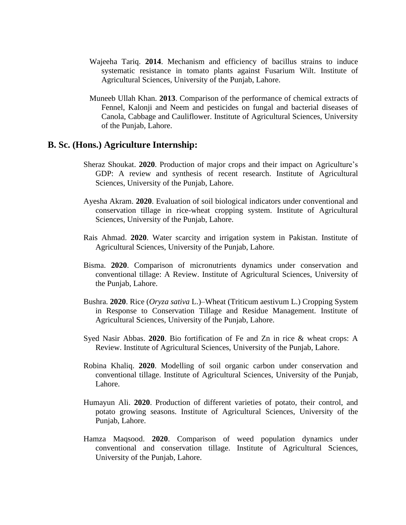- Wajeeha Tariq. **2014**. Mechanism and efficiency of bacillus strains to induce systematic resistance in tomato plants against Fusarium Wilt. Institute of Agricultural Sciences, University of the Punjab, Lahore.
- Muneeb Ullah Khan. **2013**. Comparison of the performance of chemical extracts of Fennel, Kalonji and Neem and pesticides on fungal and bacterial diseases of Canola, Cabbage and Cauliflower. Institute of Agricultural Sciences, University of the Punjab, Lahore.

#### **B. Sc. (Hons.) Agriculture Internship:**

- Sheraz Shoukat. **2020**. Production of major crops and their impact on Agriculture's GDP: A review and synthesis of recent research. Institute of Agricultural Sciences, University of the Punjab, Lahore.
- Ayesha Akram. **2020**. Evaluation of soil biological indicators under conventional and conservation tillage in rice-wheat cropping system. Institute of Agricultural Sciences, University of the Punjab, Lahore.
- Rais Ahmad. **2020**. Water scarcity and irrigation system in Pakistan. Institute of Agricultural Sciences, University of the Punjab, Lahore.
- Bisma. **2020**. Comparison of micronutrients dynamics under conservation and conventional tillage: A Review. Institute of Agricultural Sciences, University of the Punjab, Lahore.
- Bushra. **2020**. Rice (*Oryza sativa* L.)–Wheat (Triticum aestivum L.) Cropping System in Response to Conservation Tillage and Residue Management. Institute of Agricultural Sciences, University of the Punjab, Lahore.
- Syed Nasir Abbas. **2020**. Bio fortification of Fe and Zn in rice & wheat crops: A Review. Institute of Agricultural Sciences, University of the Punjab, Lahore.
- Robina Khaliq. **2020**. Modelling of soil organic carbon under conservation and conventional tillage. Institute of Agricultural Sciences, University of the Punjab, Lahore.
- Humayun Ali. **2020**. Production of different varieties of potato, their control, and potato growing seasons. Institute of Agricultural Sciences, University of the Punjab, Lahore.
- Hamza Maqsood. **2020**. Comparison of weed population dynamics under conventional and conservation tillage. Institute of Agricultural Sciences, University of the Punjab, Lahore.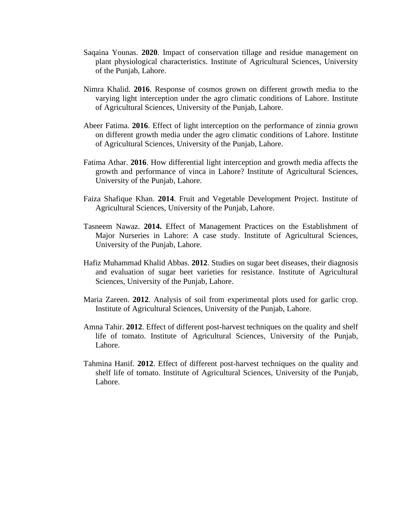- Saqaina Younas. **2020**. Impact of conservation tillage and residue management on plant physiological characteristics. Institute of Agricultural Sciences, University of the Punjab, Lahore.
- Nimra Khalid. **2016**. Response of cosmos grown on different growth media to the varying light interception under the agro climatic conditions of Lahore. Institute of Agricultural Sciences, University of the Punjab, Lahore.
- Abeer Fatima. **2016**. Effect of light interception on the performance of zinnia grown on different growth media under the agro climatic conditions of Lahore. Institute of Agricultural Sciences, University of the Punjab, Lahore.
- Fatima Athar. **2016**. How differential light interception and growth media affects the growth and performance of vinca in Lahore? Institute of Agricultural Sciences, University of the Punjab, Lahore.
- Faiza Shafique Khan. **2014**. Fruit and Vegetable Development Project. Institute of Agricultural Sciences, University of the Punjab, Lahore.
- Tasneem Nawaz. **2014.** Effect of Management Practices on the Establishment of Major Nurseries in Lahore: A case study. Institute of Agricultural Sciences, University of the Punjab, Lahore.
- Hafiz Muhammad Khalid Abbas. **2012**. Studies on sugar beet diseases, their diagnosis and evaluation of sugar beet varieties for resistance. Institute of Agricultural Sciences, University of the Punjab, Lahore.
- Maria Zareen. **2012**. Analysis of soil from experimental plots used for garlic crop. Institute of Agricultural Sciences, University of the Punjab, Lahore.
- Amna Tahir. **2012**. Effect of different post-harvest techniques on the quality and shelf life of tomato. Institute of Agricultural Sciences, University of the Punjab, Lahore.
- Tahmina Hanif. **2012**. Effect of different post-harvest techniques on the quality and shelf life of tomato. Institute of Agricultural Sciences, University of the Punjab, Lahore.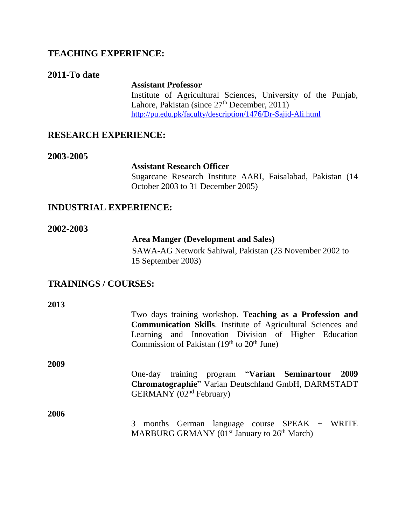# **TEACHING EXPERIENCE:**

# **2011-To date**

**Assistant Professor** Institute of Agricultural Sciences, University of the Punjab, Lahore, Pakistan (since 27<sup>th</sup> December, 2011) http://pu.edu.pk/faculty/description/1476/Dr-Sajid-Ali.html

# **RESEARCH EXPERIENCE:**

#### **2003-2005**

#### **Assistant Research Officer**

Sugarcane Research Institute AARI, Faisalabad, Pakistan (14 October 2003 to 31 December 2005)

# **INDUSTRIAL EXPERIENCE:**

#### **2002-2003**

#### **Area Manger (Development and Sales)**

SAWA-AG Network Sahiwal, Pakistan (23 November 2002 to 15 September 2003)

# **TRAININGS / COURSES:**

| 2013 |                                                                                                                                                                                         |
|------|-----------------------------------------------------------------------------------------------------------------------------------------------------------------------------------------|
|      | Two days training workshop. Teaching as a Profession and<br><b>Communication Skills.</b> Institute of Agricultural Sciences and<br>Learning and Innovation Division of Higher Education |
|      | Commission of Pakistan $(19th$ to $20th$ June)                                                                                                                                          |
| 2009 |                                                                                                                                                                                         |
|      | One-day training program "Varian Seminartour 2009<br><b>Chromatographie</b> " Varian Deutschland GmbH, DARMSTADT<br>GERMANY (02 <sup>nd</sup> February)                                 |
| 2006 | 3 months German language course SPEAK + WRITE<br>MARBURG GRMANY (01 <sup>st</sup> January to 26 <sup>th</sup> March)                                                                    |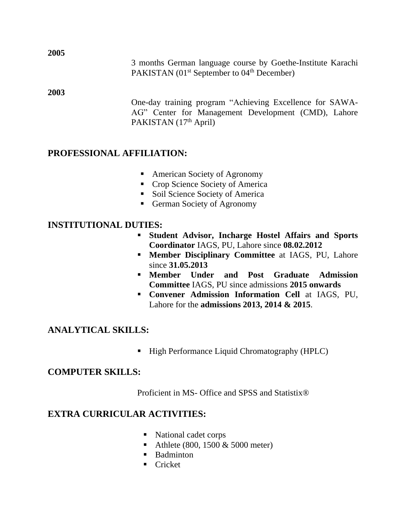3 months German language course by Goethe-Institute Karachi PAKISTAN (01<sup>st</sup> September to 04<sup>th</sup> December)

#### **2003**

One-day training program "Achieving Excellence for SAWA-AG" Center for Management Development (CMD), Lahore PAKISTAN (17<sup>th</sup> April)

# **PROFESSIONAL AFFILIATION:**

- American Society of Agronomy
- Crop Science Society of America
- Soil Science Society of America
- German Society of Agronomy

# **INSTITUTIONAL DUTIES:**

- **Student Advisor, Incharge Hostel Affairs and Sports Coordinator** IAGS, PU, Lahore since **08.02.2012**
- **Member Disciplinary Committee** at IAGS, PU, Lahore since **31.05.2013**
- **Member Under and Post Graduate Admission Committee** IAGS, PU since admissions **2015 onwards**
- **Convener Admission Information Cell** at IAGS, PU, Lahore for the **admissions 2013, 2014 & 2015**.

# **ANALYTICAL SKILLS:**

▪ High Performance Liquid Chromatography (HPLC)

# **COMPUTER SKILLS:**

Proficient in MS- Office and SPSS and Statistix®

# **EXTRA CURRICULAR ACTIVITIES:**

- National cadet corps
- Athlete (800, 1500  $& 5000$  meter)
- Badminton
- Cricket